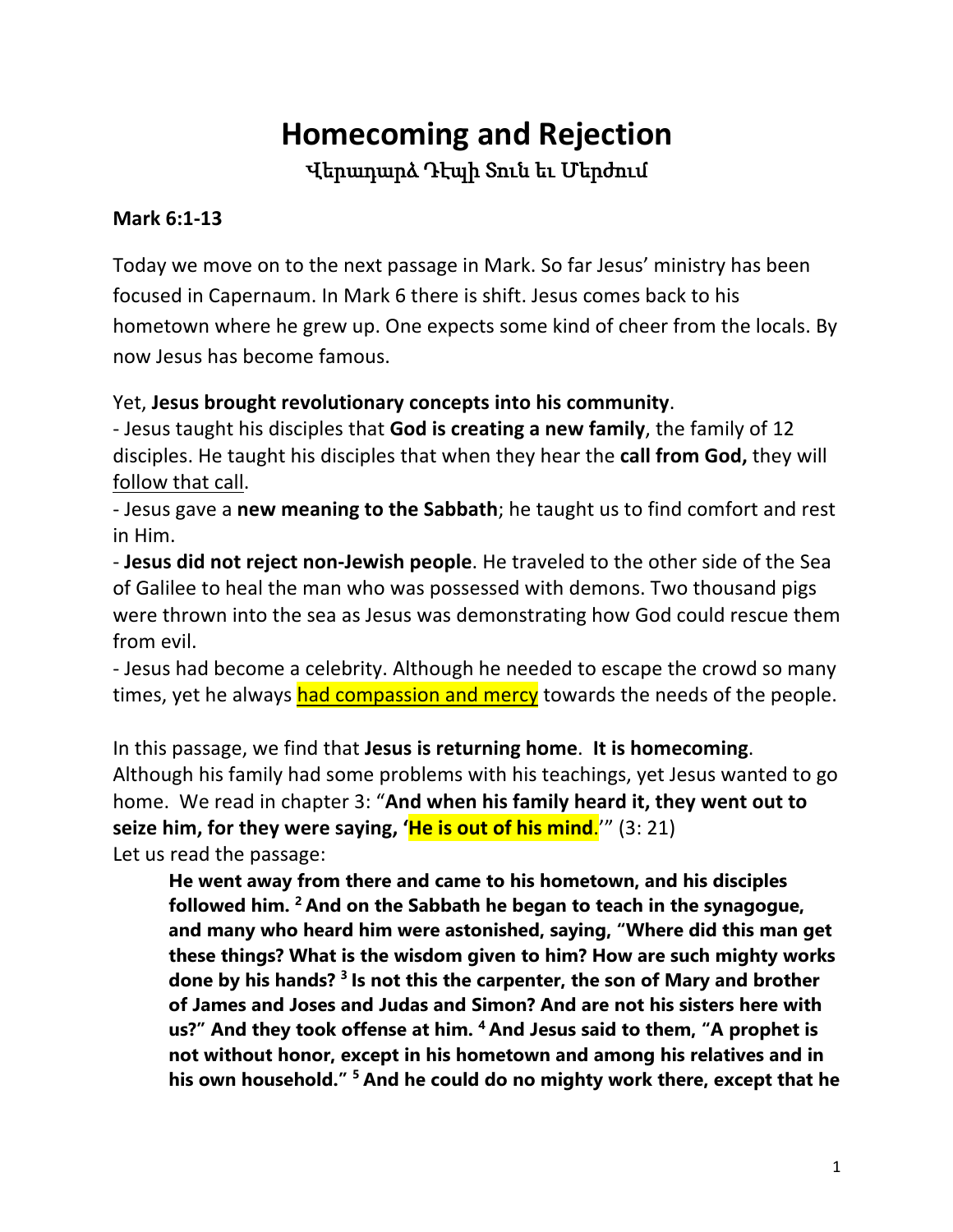# **Homecoming and Rejection** Վերադարձ Դէպի Տուն եւ Մերժում

#### **Mark 6:1-13**

Today we move on to the next passage in Mark. So far Jesus' ministry has been focused in Capernaum. In Mark 6 there is shift. Jesus comes back to his hometown where he grew up. One expects some kind of cheer from the locals. By now Jesus has become famous.

#### Yet, **Jesus brought revolutionary concepts into his community**.

- Jesus taught his disciples that **God is creating a new family**, the family of 12 disciples. He taught his disciples that when they hear the **call from God,** they will follow that call.

- Jesus gave a **new meaning to the Sabbath**; he taught us to find comfort and rest in Him.

- **Jesus did not reject non-Jewish people**. He traveled to the other side of the Sea of Galilee to heal the man who was possessed with demons. Two thousand pigs were thrown into the sea as Jesus was demonstrating how God could rescue them from evil.

- Jesus had become a celebrity. Although he needed to escape the crowd so many times, yet he always had compassion and mercy towards the needs of the people.

In this passage, we find that **Jesus is returning home**. **It is homecoming**. Although his family had some problems with his teachings, yet Jesus wanted to go home. We read in chapter 3: "**And when his family heard it, they went out to seize him, for they were saying, 'He is out of his mind**.'" (3: 21) Let us read the passage:

**He went away from there and came to his hometown, and his disciples followed him. <sup>2</sup> And on the Sabbath he began to teach in the synagogue, and many who heard him were astonished, saying, "Where did this man get these things? What is the wisdom given to him? How are such mighty works done by his hands? <sup>3</sup> Is not this the carpenter, the son of Mary and brother of James and Joses and Judas and Simon? And are not his sisters here with us?" And they took offense at him. <sup>4</sup> And Jesus said to them, "A prophet is not without honor, except in his hometown and among his relatives and in his own household." <sup>5</sup> And he could do no mighty work there, except that he**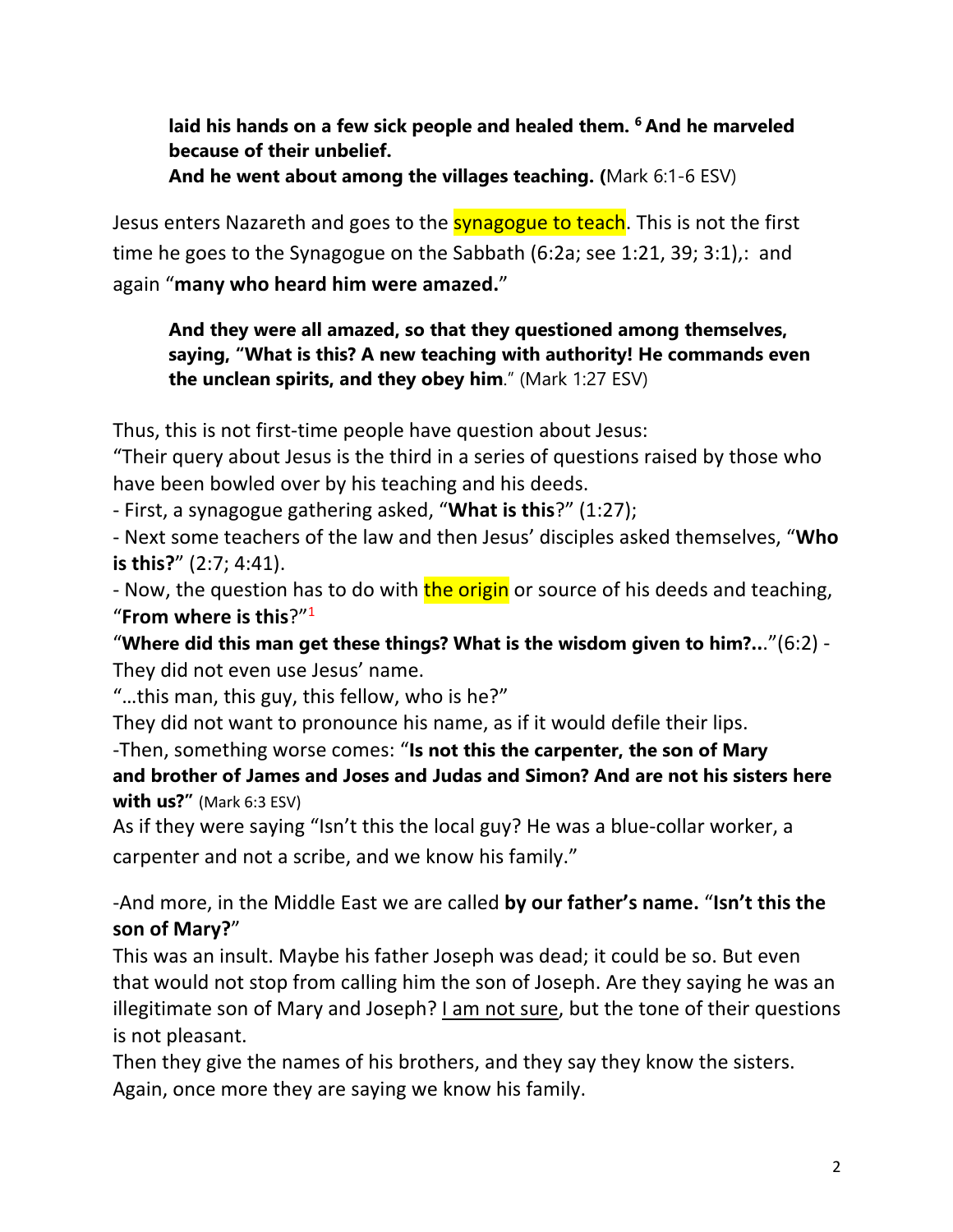**laid his hands on a few sick people and healed them. <sup>6</sup> And he marveled because of their unbelief.**

**And he went about among the villages teaching. (**Mark 6:1-6 ESV)

Jesus enters Nazareth and goes to the **synagogue to teach**. This is not the first time he goes to the Synagogue on the Sabbath (6:2a; see 1:21, 39; 3:1),: and again "**many who heard him were amazed.**"

**And they were all amazed, so that they questioned among themselves, saying, "What is this? A new teaching with authority! He commands even the unclean spirits, and they obey him**." (Mark 1:27 ESV)

Thus, this is not first-time people have question about Jesus:

"Their query about Jesus is the third in a series of questions raised by those who have been bowled over by his teaching and his deeds.

- First, a synagogue gathering asked, "**What is this**?" (1:27);

- Next some teachers of the law and then Jesus' disciples asked themselves, "**Who is this?**" (2:7; 4:41).

- Now, the question has to do with the origin or source of his deeds and teaching, "**From where is this**?"1

"**Where did this man get these things? What is the wisdom given to him?..**."(6:2) - They did not even use Jesus' name.

"…this man, this guy, this fellow, who is he?"

They did not want to pronounce his name, as if it would defile their lips.

-Then, something worse comes: "**Is not this the carpenter, the son of Mary and brother of James and Joses and Judas and Simon? And are not his sisters here with us?"** (Mark 6:3 ESV)

As if they were saying "Isn't this the local guy? He was a blue-collar worker, a carpenter and not a scribe, and we know his family."

-And more, in the Middle East we are called **by our father's name.** "**Isn't this the son of Mary?**"

This was an insult. Maybe his father Joseph was dead; it could be so. But even that would not stop from calling him the son of Joseph. Are they saying he was an illegitimate son of Mary and Joseph? I am not sure, but the tone of their questions is not pleasant.

Then they give the names of his brothers, and they say they know the sisters. Again, once more they are saying we know his family.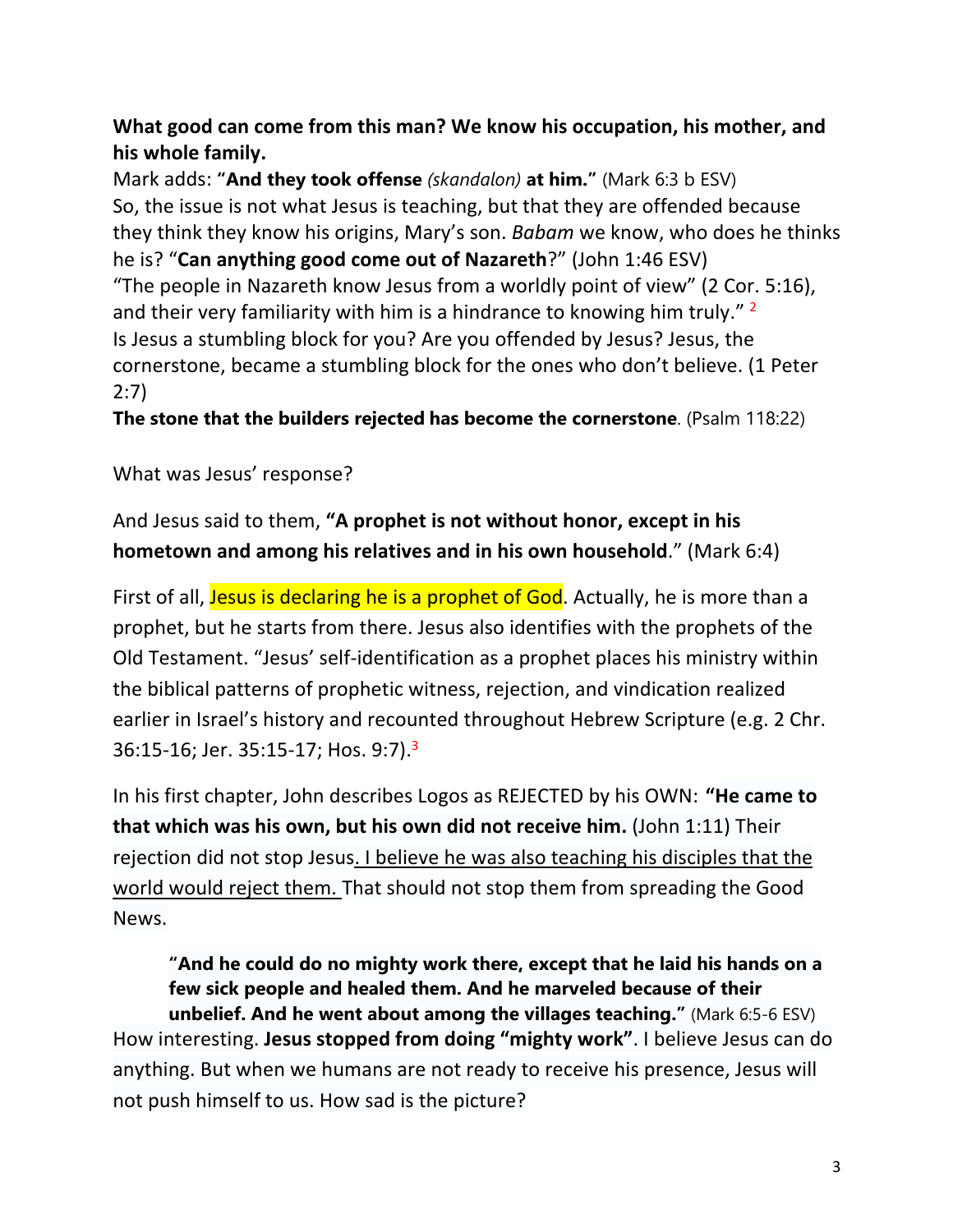### **What good can come from this man? We know his occupation, his mother, and his whole family.**

Mark adds: **"And they took offense** *(skandalon)* **at him."** (Mark 6:3 b ESV) So, the issue is not what Jesus is teaching, but that they are offended because they think they know his origins, Mary's son. *Babam* we know, who does he thinks he is? "**Can anything good come out of Nazareth**?" (John 1:46 ESV) "The people in Nazareth know Jesus from a worldly point of view" (2 Cor. 5:16), and their very familiarity with him is a hindrance to knowing him truly."  $2$ Is Jesus a stumbling block for you? Are you offended by Jesus? Jesus, the cornerstone, became a stumbling block for the ones who don't believe. (1 Peter 2:7)

**The stone that the builders rejected has become the cornerstone**. (Psalm 118:22)

What was Jesus' response?

And Jesus said to them, **"A prophet is not without honor, except in his hometown and among his relatives and in his own household**." (Mark 6:4)

First of all, Jesus is declaring he is a prophet of God. Actually, he is more than a prophet, but he starts from there. Jesus also identifies with the prophets of the Old Testament. "Jesus' self-identification as a prophet places his ministry within the biblical patterns of prophetic witness, rejection, and vindication realized earlier in Israel's history and recounted throughout Hebrew Scripture (e.g. 2 Chr. 36:15-16; Jer. 35:15-17; Hos. 9:7).3

In his first chapter, John describes Logos as REJECTED by his OWN: **"He came to that which was his own, but his own did not receive him.** (John 1:11) Their rejection did not stop Jesus. I believe he was also teaching his disciples that the world would reject them. That should not stop them from spreading the Good News.

**"And he could do no mighty work there, except that he laid his hands on a few sick people and healed them. And he marveled because of their unbelief. And he went about among the villages teaching."** (Mark 6:5-6 ESV) How interesting. **Jesus stopped from doing "mighty work"**. I believe Jesus can do anything. But when we humans are not ready to receive his presence, Jesus will not push himself to us. How sad is the picture?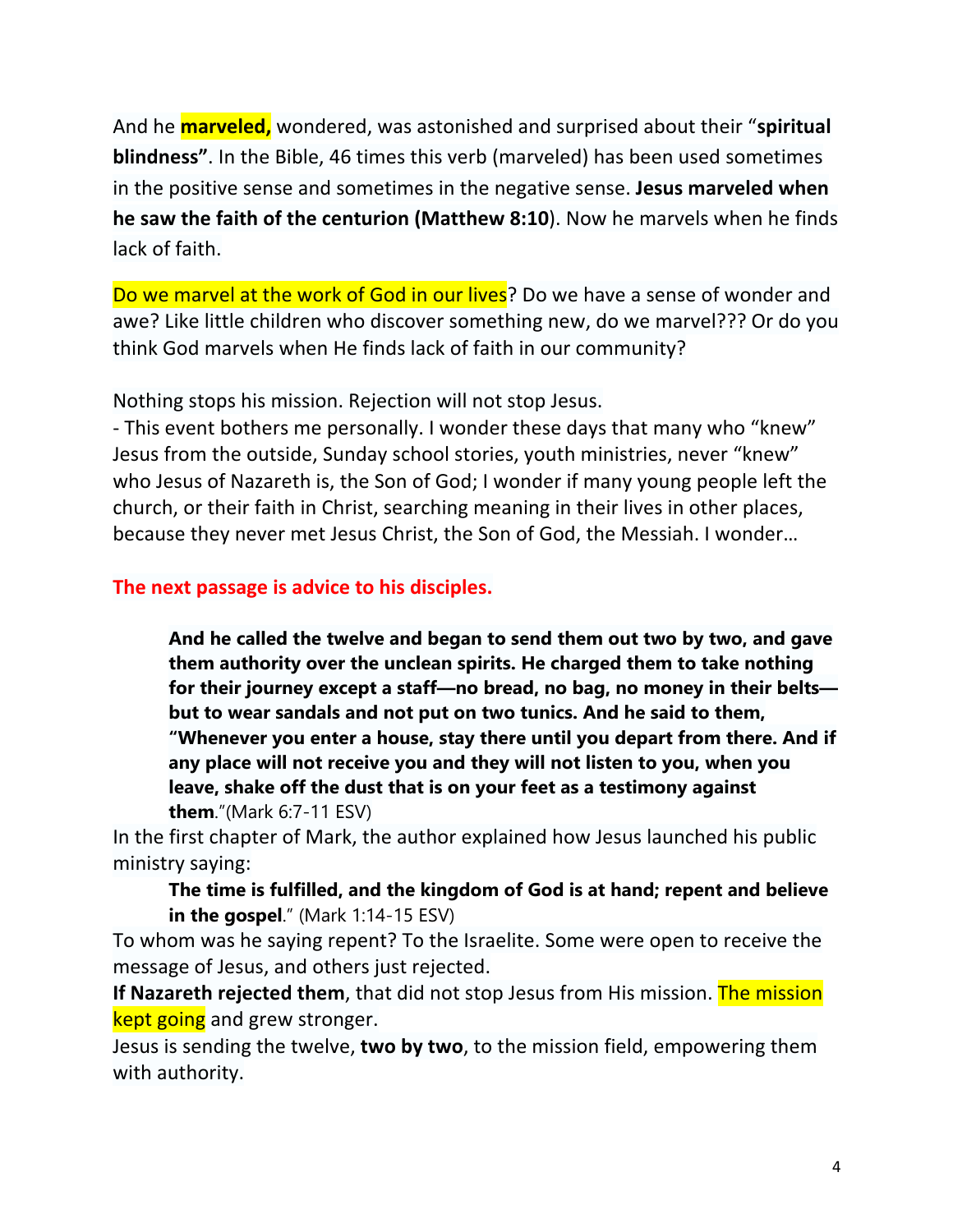And he **marveled,** wondered, was astonished and surprised about their "**spiritual blindness"**. In the Bible, 46 times this verb (marveled) has been used sometimes in the positive sense and sometimes in the negative sense. **Jesus marveled when he saw the faith of the centurion (Matthew 8:10**). Now he marvels when he finds lack of faith.

Do we marvel at the work of God in our lives? Do we have a sense of wonder and awe? Like little children who discover something new, do we marvel??? Or do you think God marvels when He finds lack of faith in our community?

Nothing stops his mission. Rejection will not stop Jesus.

- This event bothers me personally. I wonder these days that many who "knew" Jesus from the outside, Sunday school stories, youth ministries, never "knew" who Jesus of Nazareth is, the Son of God; I wonder if many young people left the church, or their faith in Christ, searching meaning in their lives in other places, because they never met Jesus Christ, the Son of God, the Messiah. I wonder…

#### **The next passage is advice to his disciples.**

**And he called the twelve and began to send them out two by two, and gave them authority over the unclean spirits. He charged them to take nothing for their journey except a staff—no bread, no bag, no money in their belts but to wear sandals and not put on two tunics. And he said to them, "Whenever you enter a house, stay there until you depart from there. And if any place will not receive you and they will not listen to you, when you leave, shake off the dust that is on your feet as a testimony against them**."(Mark 6:7-11 ESV)

In the first chapter of Mark, the author explained how Jesus launched his public ministry saying:

**The time is fulfilled, and the kingdom of God is at hand; repent and believe in the gospel**." (Mark 1:14-15 ESV)

To whom was he saying repent? To the Israelite. Some were open to receive the message of Jesus, and others just rejected.

**If Nazareth rejected them**, that did not stop Jesus from His mission. The mission kept going and grew stronger.

Jesus is sending the twelve, **two by two**, to the mission field, empowering them with authority.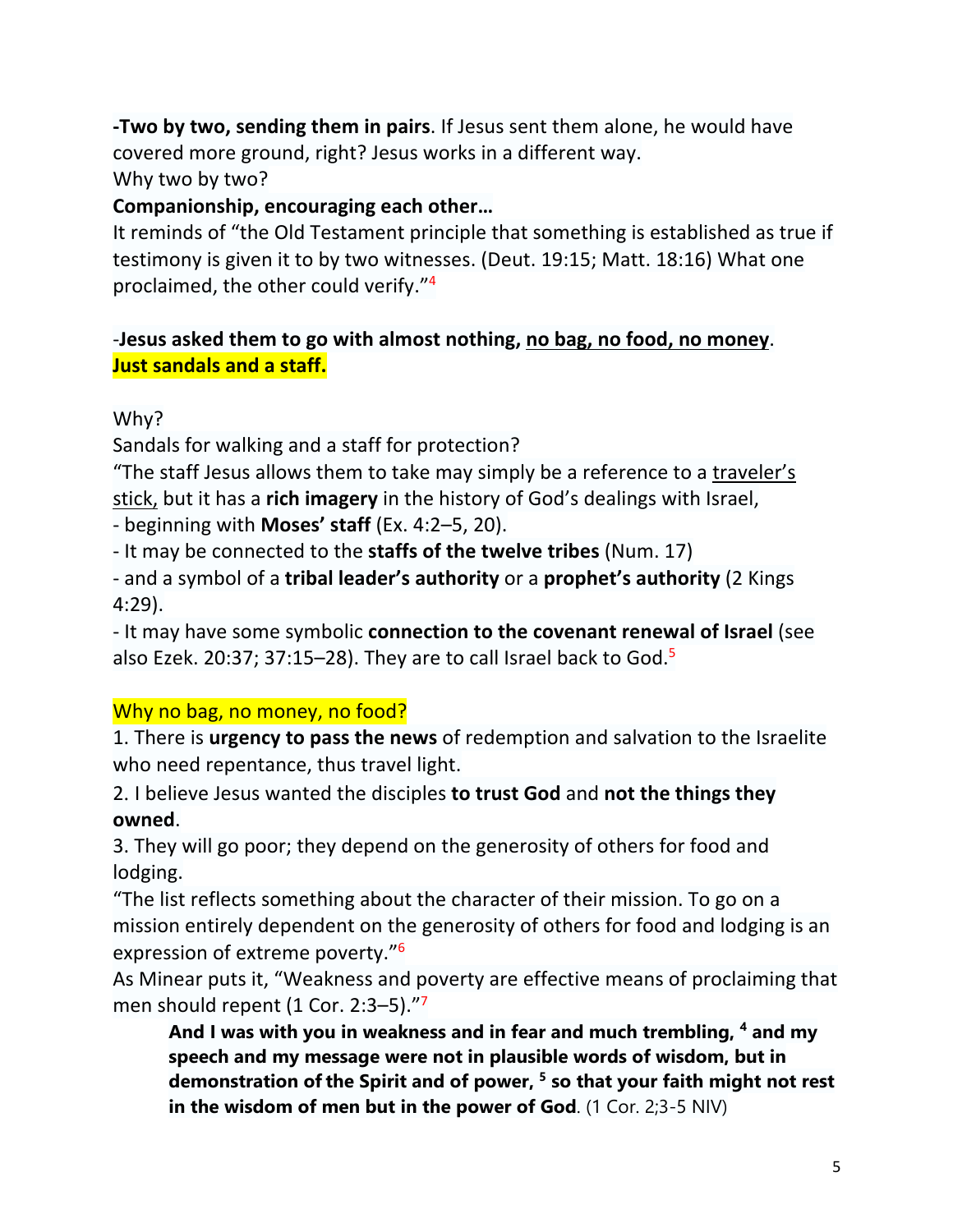**-Two by two, sending them in pairs**. If Jesus sent them alone, he would have covered more ground, right? Jesus works in a different way. Why two by two?

#### **Companionship, encouraging each other…**

It reminds of "the Old Testament principle that something is established as true if testimony is given it to by two witnesses. (Deut. 19:15; Matt. 18:16) What one proclaimed, the other could verify."4

#### -**Jesus asked them to go with almost nothing, no bag, no food, no money**. **Just sandals and a staff.**

Why?

Sandals for walking and a staff for protection?

"The staff Jesus allows them to take may simply be a reference to a traveler's stick, but it has a **rich imagery** in the history of God's dealings with Israel,

- beginning with **Moses' staff** (Ex. 4:2–5, 20).

- It may be connected to the **staffs of the twelve tribes** (Num. 17)

- and a symbol of a **tribal leader's authority** or a **prophet's authority** (2 Kings 4:29).

- It may have some symbolic **connection to the covenant renewal of Israel** (see also Ezek. 20:37; 37:15–28). They are to call Israel back to God. $5$ 

#### Why no bag, no money, no food?

1. There is **urgency to pass the news** of redemption and salvation to the Israelite who need repentance, thus travel light.

2. I believe Jesus wanted the disciples **to trust God** and **not the things they owned**.

3. They will go poor; they depend on the generosity of others for food and lodging.

"The list reflects something about the character of their mission. To go on a mission entirely dependent on the generosity of others for food and lodging is an expression of extreme poverty."6

As Minear puts it, "Weakness and poverty are effective means of proclaiming that men should repent (1 Cor. 2:3-5)."<sup>7</sup>

**And I was with you in weakness and in fear and much trembling, 4 and my speech and my message were not in plausible words of wisdom, but in demonstration ofthe Spirit and of power, 5 so that your faith might not rest in the wisdom of men but in the power of God**. (1 Cor. 2;3-5 NIV)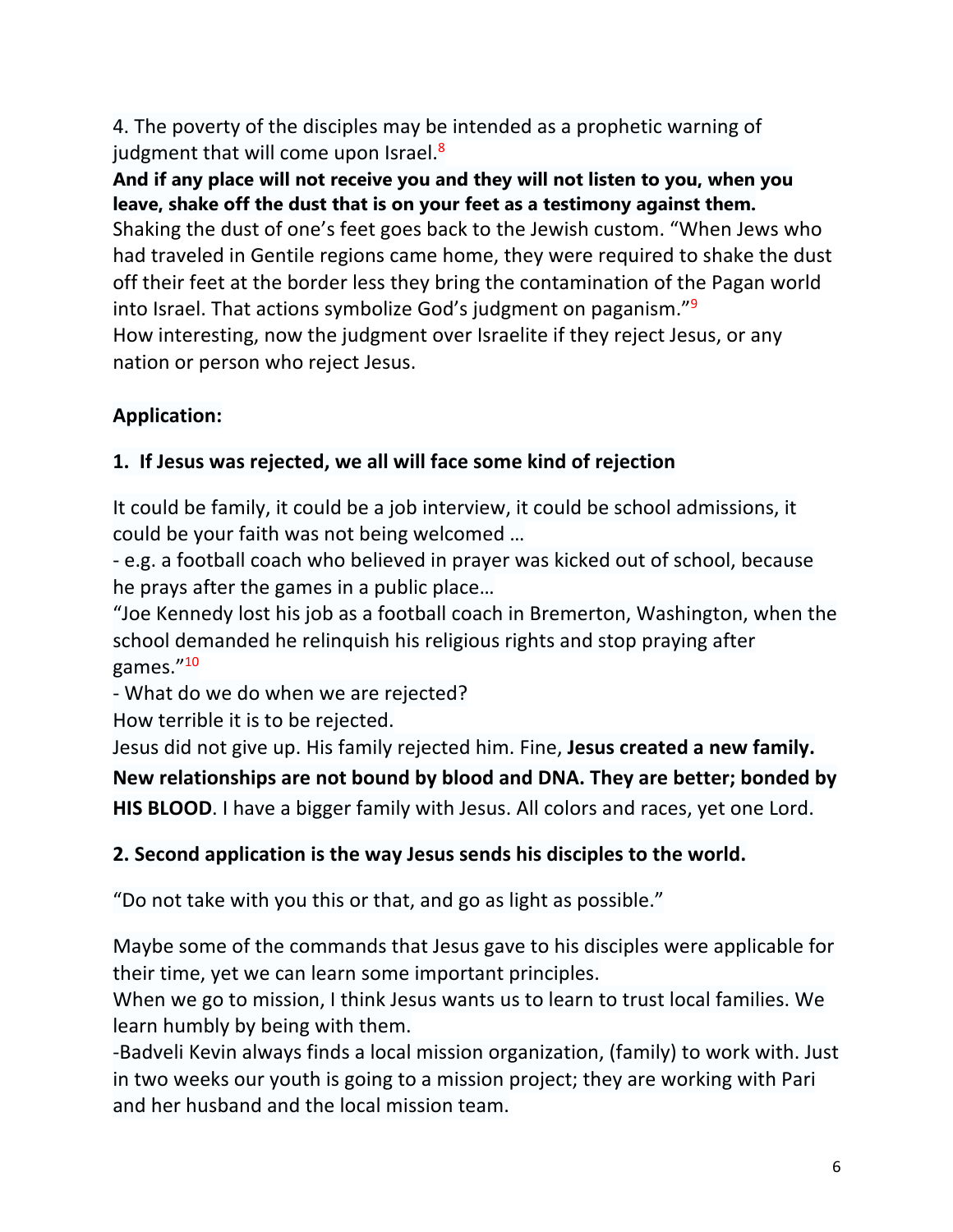4. The poverty of the disciples may be intended as a prophetic warning of judgment that will come upon Israel.<sup>8</sup>

**And if any place will not receive you and they will not listen to you, when you leave, shake off the dust that is on your feet as a testimony against them.** Shaking the dust of one's feet goes back to the Jewish custom. "When Jews who had traveled in Gentile regions came home, they were required to shake the dust off their feet at the border less they bring the contamination of the Pagan world into Israel. That actions symbolize God's judgment on paganism."9 How interesting, now the judgment over Israelite if they reject Jesus, or any nation or person who reject Jesus.

# **Application:**

# **1. If Jesus was rejected, we all will face some kind of rejection**

It could be family, it could be a job interview, it could be school admissions, it could be your faith was not being welcomed …

- e.g. a football coach who believed in prayer was kicked out of school, because he prays after the games in a public place…

"Joe Kennedy lost his job as a football coach in Bremerton, Washington, when the school demanded he relinquish his religious rights and stop praying after games."10

- What do we do when we are rejected?

How terrible it is to be rejected.

Jesus did not give up. His family rejected him. Fine, **Jesus created a new family.** 

**New relationships are not bound by blood and DNA. They are better; bonded by** 

**HIS BLOOD**. I have a bigger family with Jesus. All colors and races, yet one Lord.

## **2. Second application is the way Jesus sends his disciples to the world.**

"Do not take with you this or that, and go as light as possible."

Maybe some of the commands that Jesus gave to his disciples were applicable for their time, yet we can learn some important principles.

When we go to mission, I think Jesus wants us to learn to trust local families. We learn humbly by being with them.

-Badveli Kevin always finds a local mission organization, (family) to work with. Just in two weeks our youth is going to a mission project; they are working with Pari and her husband and the local mission team.